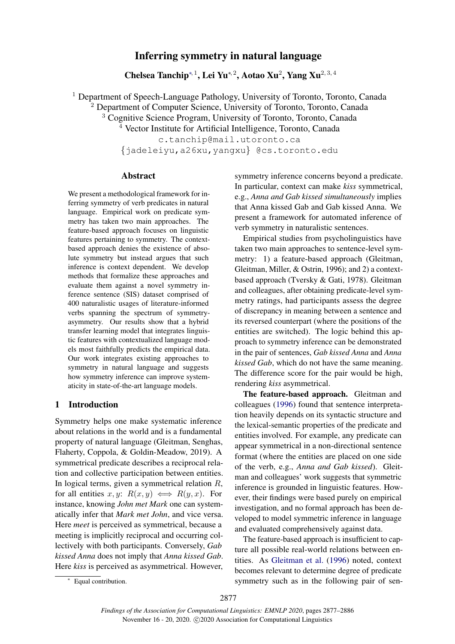# Inferring symmetry in natural language

Chelsea Tanchip<sup>∗, 1</sup>, Lei Yu<sup>∗, 2</sup>, Aotao Xu<sup>2</sup>, Yang Xu<sup>2, 3, 4</sup>

<sup>1</sup> Department of Speech-Language Pathology, University of Toronto, Toronto, Canada <sup>2</sup> Department of Computer Science, University of Toronto, Toronto, Canada <sup>3</sup> Cognitive Science Program, University of Toronto, Toronto, Canada <sup>4</sup> Vector Institute for Artificial Intelligence, Toronto, Canada c.tanchip@mail.utoronto.ca {jadeleiyu,a26xu,yangxu} @cs.toronto.edu

# Abstract

We present a methodological framework for inferring symmetry of verb predicates in natural language. Empirical work on predicate symmetry has taken two main approaches. The feature-based approach focuses on linguistic features pertaining to symmetry. The contextbased approach denies the existence of absolute symmetry but instead argues that such inference is context dependent. We develop methods that formalize these approaches and evaluate them against a novel symmetry inference sentence (SIS) dataset comprised of 400 naturalistic usages of literature-informed verbs spanning the spectrum of symmetryasymmetry. Our results show that a hybrid transfer learning model that integrates linguistic features with contextualized language models most faithfully predicts the empirical data. Our work integrates existing approaches to symmetry in natural language and suggests how symmetry inference can improve systematicity in state-of-the-art language models.

# 1 Introduction

Symmetry helps one make systematic inference about relations in the world and is a fundamental property of natural language (Gleitman, Senghas, Flaherty, Coppola, & Goldin-Meadow, 2019). A symmetrical predicate describes a reciprocal relation and collective participation between entities. In logical terms, given a symmetrical relation  $R$ , for all entities x, y:  $R(x, y) \iff R(y, x)$ . For instance, knowing *John met Mark* one can systematically infer that *Mark met John*, and vice versa. Here *meet* is perceived as symmetrical, because a meeting is implicitly reciprocal and occurring collectively with both participants. Conversely, *Gab kissed Anna* does not imply that *Anna kissed Gab*. Here *kiss* is perceived as asymmetrical. However, symmetry inference concerns beyond a predicate. In particular, context can make *kiss* symmetrical, e.g., *Anna and Gab kissed simultaneously* implies that Anna kissed Gab and Gab kissed Anna. We present a framework for automated inference of verb symmetry in naturalistic sentences.

Empirical studies from psycholinguistics have taken two main approaches to sentence-level symmetry: 1) a feature-based approach (Gleitman, Gleitman, Miller, & Ostrin, 1996); and 2) a contextbased approach (Tversky & Gati, 1978). Gleitman and colleagues, after obtaining predicate-level symmetry ratings, had participants assess the degree of discrepancy in meaning between a sentence and its reversed counterpart (where the positions of the entities are switched). The logic behind this approach to symmetry inference can be demonstrated in the pair of sentences, *Gab kissed Anna* and *Anna kissed Gab*, which do not have the same meaning. The difference score for the pair would be high, rendering *kiss* asymmetrical.

The feature-based approach. Gleitman and colleagues [\(1996\)](#page-8-0) found that sentence interpretation heavily depends on its syntactic structure and the lexical-semantic properties of the predicate and entities involved. For example, any predicate can appear symmetrical in a non-directional sentence format (where the entities are placed on one side of the verb, e.g., *Anna and Gab kissed*). Gleitman and colleagues' work suggests that symmetric inference is grounded in linguistic features. However, their findings were based purely on empirical investigation, and no formal approach has been developed to model symmetric inference in language and evaluated comprehensively against data.

The feature-based approach is insufficient to capture all possible real-world relations between entities. As [Gleitman et al.](#page-8-0) [\(1996\)](#page-8-0) noted, context becomes relevant to determine degree of predicate symmetry such as in the following pair of sen-

<sup>∗</sup> Equal contribution.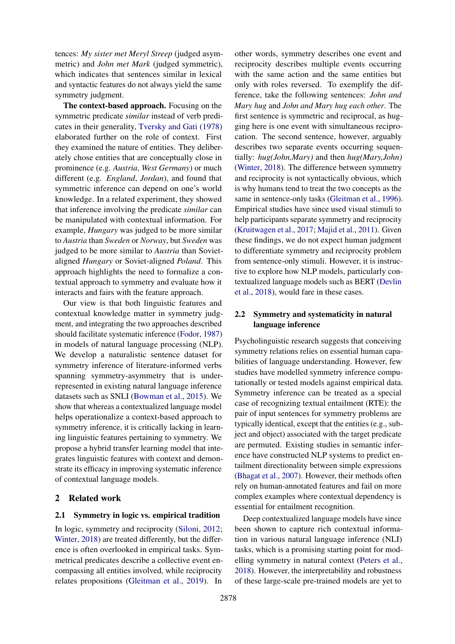tences: *My sister met Meryl Streep* (judged asymmetric) and *John met Mark* (judged symmetric), which indicates that sentences similar in lexical and syntactic features do not always yield the same symmetry judgment.

The context-based approach. Focusing on the symmetric predicate *similar* instead of verb predicates in their generality, [Tversky and Gati](#page-9-0) [\(1978\)](#page-9-0) elaborated further on the role of context. First they examined the nature of entities. They deliberately chose entities that are conceptually close in prominence (e.g. *Austria*, *West Germany*) or much different (e.g. *England*, *Jordan*), and found that symmetric inference can depend on one's world knowledge. In a related experiment, they showed that inference involving the predicate *similar* can be manipulated with contextual information. For example, *Hungary* was judged to be more similar to *Austria* than *Sweden* or *Norway*, but *Sweden* was judged to be more similar to *Austria* than Sovietaligned *Hungary* or Soviet-aligned *Poland*. This approach highlights the need to formalize a contextual approach to symmetry and evaluate how it interacts and fairs with the feature approach.

Our view is that both linguistic features and contextual knowledge matter in symmetry judgment, and integrating the two approaches described should facilitate systematic inference [\(Fodor,](#page-8-1) [1987\)](#page-8-1) in models of natural language processing (NLP). We develop a naturalistic sentence dataset for symmetry inference of literature-informed verbs spanning symmetry-asymmetry that is underrepresented in existing natural language inference datasets such as SNLI [\(Bowman et al.,](#page-8-2) [2015\)](#page-8-2). We show that whereas a contextualized language model helps operationalize a context-based approach to symmetry inference, it is critically lacking in learning linguistic features pertaining to symmetry. We propose a hybrid transfer learning model that integrates linguistic features with context and demonstrate its efficacy in improving systematic inference of contextual language models.

# 2 Related work

#### 2.1 Symmetry in logic vs. empirical tradition

In logic, symmetry and reciprocity [\(Siloni,](#page-9-1) [2012;](#page-9-1) [Winter,](#page-9-2) [2018\)](#page-9-2) are treated differently, but the difference is often overlooked in empirical tasks. Symmetrical predicates describe a collective event encompassing all entities involved, while reciprocity relates propositions [\(Gleitman et al.,](#page-8-3) [2019\)](#page-8-3). In

other words, symmetry describes one event and reciprocity describes multiple events occurring with the same action and the same entities but only with roles reversed. To exemplify the difference, take the following sentences: *John and Mary hug* and *John and Mary hug each other*. The first sentence is symmetric and reciprocal, as hugging here is one event with simultaneous reciprocation. The second sentence, however, arguably describes two separate events occurring sequentially: *hug(John,Mary)* and then *hug(Mary,John)* [\(Winter,](#page-9-2) [2018\)](#page-9-2). The difference between symmetry and reciprocity is not syntactically obvious, which is why humans tend to treat the two concepts as the same in sentence-only tasks [\(Gleitman et al.,](#page-8-0) [1996\)](#page-8-0). Empirical studies have since used visual stimuli to help participants separate symmetry and reciprocity [\(Kruitwagen et al.,](#page-9-3) [2017;](#page-9-3) [Majid et al.,](#page-9-4) [2011\)](#page-9-4). Given these findings, we do not expect human judgment to differentiate symmetry and reciprocity problem from sentence-only stimuli. However, it is instructive to explore how NLP models, particularly contextualized language models such as BERT [\(Devlin](#page-8-4) [et al.,](#page-8-4) [2018\)](#page-8-4), would fare in these cases.

# 2.2 Symmetry and systematicity in natural language inference

Psycholinguistic research suggests that conceiving symmetry relations relies on essential human capabilities of language understanding. However, few studies have modelled symmetry inference computationally or tested models against empirical data. Symmetry inference can be treated as a special case of recognizing textual entailment (RTE): the pair of input sentences for symmetry problems are typically identical, except that the entities (e.g., subject and object) associated with the target predicate are permuted. Existing studies in semantic inference have constructed NLP systems to predict entailment directionality between simple expressions [\(Bhagat et al.,](#page-8-5) [2007\)](#page-8-5). However, their methods often rely on human-annotated features and fail on more complex examples where contextual dependency is essential for entailment recognition.

Deep contextualized language models have since been shown to capture rich contextual information in various natural language inference (NLI) tasks, which is a promising starting point for modelling symmetry in natural context [\(Peters et al.,](#page-9-5) [2018\)](#page-9-5). However, the interpretability and robustness of these large-scale pre-trained models are yet to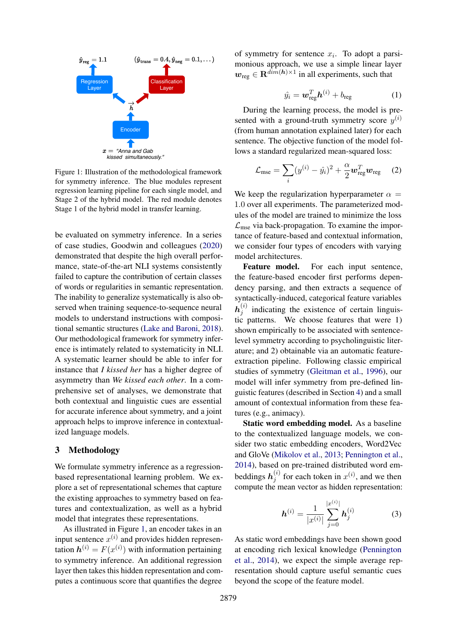<span id="page-2-0"></span>

Figure 1: Illustration of the methodological framework for symmetry inference. The blue modules represent regression learning pipeline for each single model, and Stage 2 of the hybrid model. The red module denotes Stage 1 of the hybrid model in transfer learning.

be evaluated on symmetry inference. In a series of case studies, Goodwin and colleagues [\(2020\)](#page-8-6) demonstrated that despite the high overall performance, state-of-the-art NLI systems consistently failed to capture the contribution of certain classes of words or regularities in semantic representation. The inability to generalize systematically is also observed when training sequence-to-sequence neural models to understand instructions with compositional semantic structures [\(Lake and Baroni,](#page-9-6) [2018\)](#page-9-6). Our methodological framework for symmetry inference is intimately related to systematicity in NLI. A systematic learner should be able to infer for instance that *I kissed her* has a higher degree of asymmetry than *We kissed each other*. In a comprehensive set of analyses, we demonstrate that both contextual and linguistic cues are essential for accurate inference about symmetry, and a joint approach helps to improve inference in contextualized language models.

#### 3 Methodology

We formulate symmetry inference as a regressionbased representational learning problem. We explore a set of representational schemes that capture the existing approaches to symmetry based on features and contextualization, as well as a hybrid model that integrates these representations.

As illustrated in Figure [1,](#page-2-0) an encoder takes in an input sentence  $x^{(i)}$  and provides hidden representation  $\mathbf{h}^{(i)} = F(x^{(i)})$  with information pertaining to symmetry inference. An additional regression layer then takes this hidden representation and computes a continuous score that quantifies the degree

of symmetry for sentence  $x_i$ . To adopt a parsimonious approach, we use a simple linear layer  $\mathbf{w}_{\text{reg}} \in \mathbf{R}^{\text{dim}(h) \times 1}$  in all experiments, such that

$$
\hat{y}_i = \boldsymbol{w}_{\text{reg}}^T \boldsymbol{h}^{(i)} + b_{\text{reg}} \tag{1}
$$

During the learning process, the model is presented with a ground-truth symmetry score  $y^{(i)}$ (from human annotation explained later) for each sentence. The objective function of the model follows a standard regularized mean-squared loss:

$$
\mathcal{L}_{\text{mse}} = \sum_{i} (y^{(i)} - \hat{y}_i)^2 + \frac{\alpha}{2} \boldsymbol{w}_{\text{reg}}^T \boldsymbol{w}_{\text{reg}} \qquad (2)
$$

We keep the regularization hyperparameter  $\alpha =$ 1.0 over all experiments. The parameterized modules of the model are trained to minimize the loss  $\mathcal{L}_{\text{mse}}$  via back-propagation. To examine the importance of feature-based and contextual information, we consider four types of encoders with varying model architectures.

Feature model. For each input sentence, the feature-based encoder first performs dependency parsing, and then extracts a sequence of syntactically-induced, categorical feature variables  $\bm{h}_i^{(i)}$  $j^{(i)}$  indicating the existence of certain linguistic patterns. We choose features that were 1) shown empirically to be associated with sentencelevel symmetry according to psycholinguistic literature; and 2) obtainable via an automatic featureextraction pipeline. Following classic empirical studies of symmetry [\(Gleitman et al.,](#page-8-0) [1996\)](#page-8-0), our model will infer symmetry from pre-defined linguistic features (described in Section [4\)](#page-3-0) and a small amount of contextual information from these features (e.g., animacy).

Static word embedding model. As a baseline to the contextualized language models, we consider two static embedding encoders, Word2Vec and GloVe [\(Mikolov et al.,](#page-9-7) [2013;](#page-9-7) [Pennington et al.,](#page-9-8) [2014\)](#page-9-8), based on pre-trained distributed word embeddings  $h_i^{(i)}$  $j^{(i)}$  for each token in  $x^{(i)}$ , and we then compute the mean vector as hidden representation:

$$
\boldsymbol{h}^{(i)} = \frac{1}{|x^{(i)}|} \sum_{j=0}^{|x^{(i)}|} \boldsymbol{h}_j^{(i)} \tag{3}
$$

As static word embeddings have been shown good at encoding rich lexical knowledge [\(Pennington](#page-9-8) [et al.,](#page-9-8) [2014\)](#page-9-8), we expect the simple average representation should capture useful semantic cues beyond the scope of the feature model.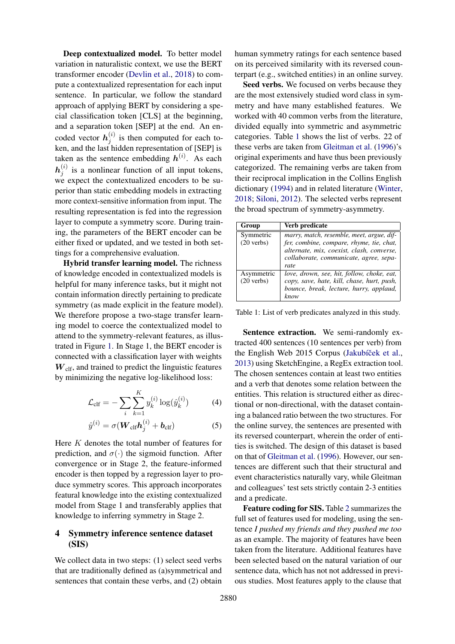Deep contextualized model. To better model variation in naturalistic context, we use the BERT transformer encoder [\(Devlin et al.,](#page-8-4) [2018\)](#page-8-4) to compute a contextualized representation for each input sentence. In particular, we follow the standard approach of applying BERT by considering a special classification token [CLS] at the beginning, and a separation token [SEP] at the end. An encoded vector  $h_i^{(i)}$  $j^{(i)}$  is then computed for each token, and the last hidden representation of [SEP] is taken as the sentence embedding  $h^{(i)}$ . As each  $\bm{h}_i^{(i)}$  $j^{(i)}$  is a nonlinear function of all input tokens, we expect the contextualized encoders to be superior than static embedding models in extracting more context-sensitive information from input. The resulting representation is fed into the regression layer to compute a symmetry score. During training, the parameters of the BERT encoder can be either fixed or updated, and we tested in both settings for a comprehensive evaluation.

Hybrid transfer learning model. The richness of knowledge encoded in contextualized models is helpful for many inference tasks, but it might not contain information directly pertaining to predicate symmetry (as made explicit in the feature model). We therefore propose a two-stage transfer learning model to coerce the contextualized model to attend to the symmetry-relevant features, as illustrated in Figure [1.](#page-2-0) In Stage 1, the BERT encoder is connected with a classification layer with weights  $W<sub>clf</sub>$ , and trained to predict the linguistic features by minimizing the negative log-likelihood loss:

$$
\mathcal{L}_{\text{clf}} = -\sum_{i} \sum_{k=1}^{K} y_k^{(i)} \log(\hat{y}_k^{(i)}) \tag{4}
$$

$$
\hat{y}^{(i)} = \sigma(\boldsymbol{W}_{\text{clf}} \boldsymbol{h}_j^{(i)} + \boldsymbol{b}_{\text{clf}})
$$
 (5)

Here K denotes the total number of features for prediction, and  $\sigma(\cdot)$  the sigmoid function. After convergence or in Stage 2, the feature-informed encoder is then topped by a regression layer to produce symmetry scores. This approach incorporates featural knowledge into the existing contextualized model from Stage 1 and transferably applies that knowledge to inferring symmetry in Stage 2.

# <span id="page-3-0"></span>4 Symmetry inference sentence dataset (SIS)

We collect data in two steps: (1) select seed verbs that are traditionally defined as (a)symmetrical and sentences that contain these verbs, and (2) obtain

human symmetry ratings for each sentence based on its perceived similarity with its reversed counterpart (e.g., switched entities) in an online survey.

Seed verbs. We focused on verbs because they are the most extensively studied word class in symmetry and have many established features. We worked with 40 common verbs from the literature, divided equally into symmetric and asymmetric categories. Table [1](#page-3-1) shows the list of verbs. 22 of these verbs are taken from [Gleitman et al.](#page-8-0) [\(1996\)](#page-8-0)'s original experiments and have thus been previously categorized. The remaining verbs are taken from their reciprocal implication in the Collins English dictionary [\(1994\)](#page-8-7) and in related literature [\(Winter,](#page-9-2) [2018;](#page-9-2) [Siloni,](#page-9-1) [2012\)](#page-9-1). The selected verbs represent the broad spectrum of symmetry-asymmetry.

<span id="page-3-1"></span>

| Group                              | Verb predicate                                                                                                                                                                       |
|------------------------------------|--------------------------------------------------------------------------------------------------------------------------------------------------------------------------------------|
| Symmetric<br>$(20 \text{ verbs})$  | marry, match, resemble, meet, argue, dif-<br>fer, combine, compare, rhyme, tie, chat,<br>alternate, mix, coexist, clash, converse,<br>collaborate, communicate, agree, sepa-<br>rate |
| Asymmetric<br>$(20 \text{ verbs})$ | love, drown, see, hit, follow, choke, eat,<br>copy, save, hate, kill, chase, hurt, push,<br>bounce, break, lecture, hurry, applaud,<br>know                                          |

Table 1: List of verb predicates analyzed in this study.

Sentence extraction. We semi-randomly extracted 400 sentences (10 sentences per verb) from the English Web 2015 Corpus (Jakubíček et al., [2013\)](#page-8-8) using SketchEngine, a RegEx extraction tool. The chosen sentences contain at least two entities and a verb that denotes some relation between the entities. This relation is structured either as directional or non-directional, with the dataset containing a balanced ratio between the two structures. For the online survey, the sentences are presented with its reversed counterpart, wherein the order of entities is switched. The design of this dataset is based on that of [Gleitman et al.](#page-8-0) [\(1996\)](#page-8-0). However, our sentences are different such that their structural and event characteristics naturally vary, while Gleitman and colleagues' test sets strictly contain 2-3 entities and a predicate.

Feature coding for SIS. Table [2](#page-4-0) summarizes the full set of features used for modeling, using the sentence *I pushed my friends and they pushed me too* as an example. The majority of features have been taken from the literature. Additional features have been selected based on the natural variation of our sentence data, which has not not addressed in previous studies. Most features apply to the clause that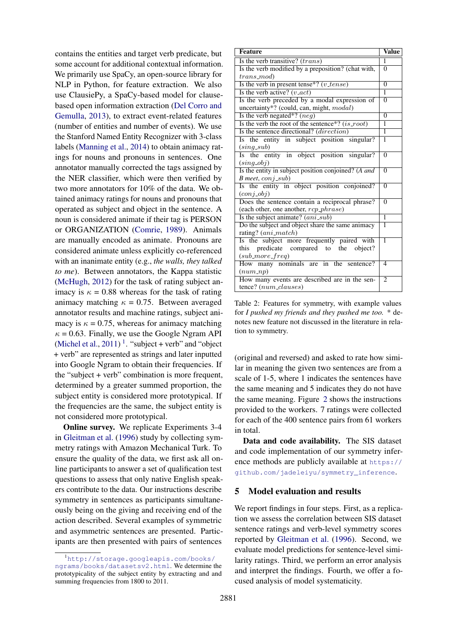contains the entities and target verb predicate, but some account for additional contextual information. We primarily use SpaCy, an open-source library for NLP in Python, for feature extraction. We also use ClausiePy, a SpaCy-based model for clausebased open information extraction [\(Del Corro and](#page-8-9) [Gemulla,](#page-8-9) [2013\)](#page-8-9), to extract event-related features (number of entities and number of events). We use the Stanford Named Entity Recognizer with 3-class labels [\(Manning et al.,](#page-9-9) [2014\)](#page-9-9) to obtain animacy ratings for nouns and pronouns in sentences. One annotator manually corrected the tags assigned by the NER classifier, which were then verified by two more annotators for 10% of the data. We obtained animacy ratings for nouns and pronouns that operated as subject and object in the sentence. A noun is considered animate if their tag is PERSON or ORGANIZATION [\(Comrie,](#page-8-10) [1989\)](#page-8-10). Animals are manually encoded as animate. Pronouns are considered animate unless explicitly co-referenced with an inanimate entity (e.g., *the walls, they talked to me*). Between annotators, the Kappa statistic [\(McHugh,](#page-9-10) [2012\)](#page-9-10) for the task of rating subject animacy is  $\kappa = 0.88$  whereas for the task of rating animacy matching  $\kappa = 0.75$ . Between averaged annotator results and machine ratings, subject animacy is  $\kappa = 0.75$ , whereas for animacy matching  $\kappa = 0.63$ . Finally, we use the Google Ngram API [\(Michel et al.,](#page-9-11) [2011\)](#page-9-11)<sup>[1](#page-4-1)</sup>. "subject + verb" and "object + verb" are represented as strings and later inputted into Google Ngram to obtain their frequencies. If the "subject + verb" combination is more frequent, determined by a greater summed proportion, the subject entity is considered more prototypical. If the frequencies are the same, the subject entity is not considered more prototypical.

Online survey. We replicate Experiments 3-4 in [Gleitman et al.](#page-8-0) [\(1996\)](#page-8-0) study by collecting symmetry ratings with Amazon Mechanical Turk. To ensure the quality of the data, we first ask all online participants to answer a set of qualification test questions to assess that only native English speakers contribute to the data. Our instructions describe symmetry in sentences as participants simultaneously being on the giving and receiving end of the action described. Several examples of symmetric and asymmetric sentences are presented. Participants are then presented with pairs of sentences

<span id="page-4-0"></span>

| <b>Feature</b>                                        | <b>Value</b>   |  |
|-------------------------------------------------------|----------------|--|
| Is the verb transitive? (trans)                       |                |  |
| Is the verb modified by a preposition? (chat with,    |                |  |
| $trans\_mod$                                          |                |  |
| Is the verb in present tense*? $(v_{\textit{tense}})$ |                |  |
| Is the verb active? $(v \_act)$                       |                |  |
| Is the verb preceded by a modal expression of         |                |  |
| uncertainty*? (could, can, might, modal)              |                |  |
| Is the verb negated*? $(neg)$                         |                |  |
| Is the verb the root of the sentence*? $(is\_root)$   |                |  |
| Is the sentence directional? (direction)              | $\overline{1}$ |  |
| Is the entity in subject position singular?           |                |  |
| $(sing\_sub)$                                         |                |  |
| Is the entity in object position singular?            |                |  |
| $(sinq_0b_i)$                                         |                |  |
| Is the entity in subject position conjoined? (A and   |                |  |
| B meet, conj_sub)                                     |                |  |
| Is the entity in object position conjoined?           |                |  |
| $(coni_0$                                             | $\overline{0}$ |  |
| Does the sentence contain a reciprocal phrase?        |                |  |
| (each other, one another, rcp_phrase)                 |                |  |
| Is the subject animate? (ani_sub)                     |                |  |
| Do the subject and object share the same animacy      |                |  |
| rating? (ani_match)                                   |                |  |
| Is the subject more frequently paired with            |                |  |
| this predicate compared to the object?                |                |  |
| $(sub\_more\_freq)$                                   |                |  |
| How many nominals are in the sentence?                |                |  |
| (num(np)<br>$\overline{2}$                            |                |  |
| How many events are described are in the sen-         |                |  |
| tence? (num_clauses)                                  |                |  |

Table 2: Features for symmetry, with example values for *I pushed my friends and they pushed me too.* \* denotes new feature not discussed in the literature in relation to symmetry.

(original and reversed) and asked to rate how similar in meaning the given two sentences are from a scale of 1-5, where 1 indicates the sentences have the same meaning and 5 indicates they do not have the same meaning. Figure [2](#page-5-0) shows the instructions provided to the workers. 7 ratings were collected for each of the 400 sentence pairs from 61 workers in total.

Data and code availability. The SIS dataset and code implementation of our symmetry inference methods are publicly available at [https://](https://github.com/jadeleiyu/symmetry_inference) [github.com/jadeleiyu/symmetry\\_inference](https://github.com/jadeleiyu/symmetry_inference).

## 5 Model evaluation and results

We report findings in four steps. First, as a replication we assess the correlation between SIS dataset sentence ratings and verb-level symmetry scores reported by [Gleitman et al.](#page-8-0) [\(1996\)](#page-8-0). Second, we evaluate model predictions for sentence-level similarity ratings. Third, we perform an error analysis and interpret the findings. Fourth, we offer a focused analysis of model systematicity.

<span id="page-4-1"></span><sup>1</sup>[http://storage.googleapis.com/books/](http://storage.googleapis.com/books/ngrams/books/datasetsv2.html) [ngrams/books/datasetsv2.html](http://storage.googleapis.com/books/ngrams/books/datasetsv2.html). We determine the prototypicality of the subject entity by extracting and and summing frequencies from 1800 to 2011.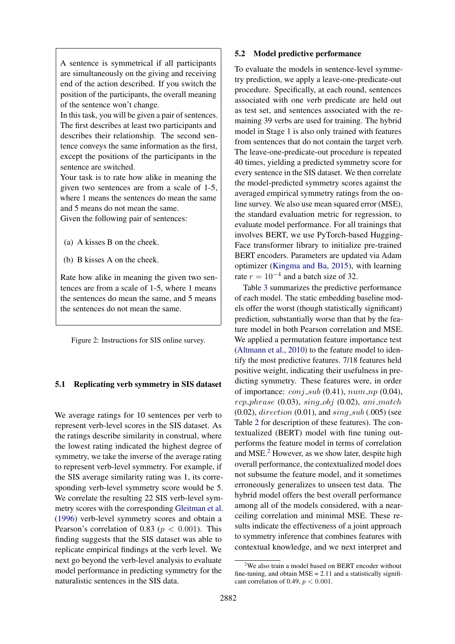<span id="page-5-0"></span>A sentence is symmetrical if all participants are simultaneously on the giving and receiving end of the action described. If you switch the position of the participants, the overall meaning of the sentence won't change.

In this task, you will be given a pair of sentences. The first describes at least two participants and describes their relationship. The second sentence conveys the same information as the first, except the positions of the participants in the sentence are switched.

Your task is to rate how alike in meaning the given two sentences are from a scale of 1-5, where 1 means the sentences do mean the same and 5 means do not mean the same.

Given the following pair of sentences:

- (a) A kisses B on the cheek.
- (b) B kisses A on the cheek.

Rate how alike in meaning the given two sentences are from a scale of 1-5, where 1 means the sentences do mean the same, and 5 means the sentences do not mean the same.

Figure 2: Instructions for SIS online survey.

#### 5.1 Replicating verb symmetry in SIS dataset

We average ratings for 10 sentences per verb to represent verb-level scores in the SIS dataset. As the ratings describe similarity in construal, where the lowest rating indicated the highest degree of symmetry, we take the inverse of the average rating to represent verb-level symmetry. For example, if the SIS average similarity rating was 1, its corresponding verb-level symmetry score would be 5. We correlate the resulting 22 SIS verb-level symmetry scores with the corresponding [Gleitman et al.](#page-8-0) [\(1996\)](#page-8-0) verb-level symmetry scores and obtain a Pearson's correlation of 0.83 ( $p < 0.001$ ). This finding suggests that the SIS dataset was able to replicate empirical findings at the verb level. We next go beyond the verb-level analysis to evaluate model performance in predicting symmetry for the naturalistic sentences in the SIS data.

#### 5.2 Model predictive performance

To evaluate the models in sentence-level symmetry prediction, we apply a leave-one-predicate-out procedure. Specifically, at each round, sentences associated with one verb predicate are held out as test set, and sentences associated with the remaining 39 verbs are used for training. The hybrid model in Stage 1 is also only trained with features from sentences that do not contain the target verb. The leave-one-predicate-out procedure is repeated 40 times, yielding a predicted symmetry score for every sentence in the SIS dataset. We then correlate the model-predicted symmetry scores against the averaged empirical symmetry ratings from the online survey. We also use mean squared error (MSE), the standard evaluation metric for regression, to evaluate model performance. For all trainings that involves BERT, we use PyTorch-based Hugging-Face transformer library to initialize pre-trained BERT encoders. Parameters are updated via Adam optimizer [\(Kingma and Ba,](#page-9-12) [2015\)](#page-9-12), with learning rate  $r = 10^{-4}$  and a batch size of 32.

Table [3](#page-6-0) summarizes the predictive performance of each model. The static embedding baseline models offer the worst (though statistically significant) prediction, substantially worse than that by the feature model in both Pearson correlation and MSE. We applied a permutation feature importance test [\(Altmann et al.,](#page-8-11) [2010\)](#page-8-11) to the feature model to identify the most predictive features. 7/18 features held positive weight, indicating their usefulness in predicting symmetry. These features were, in order of importance:  $\text{conj\_sub}(0.41)$ ,  $\text{num\_np}(0.04)$ ,  $rcp\_phrase$  (0.03),  $sing\_obj$  (0.02), ani\_match  $(0.02)$ , direction  $(0.01)$ , and sing sub  $(.005)$  (see Table [2](#page-4-0) for description of these features). The contextualized (BERT) model with fine tuning outperforms the feature model in terms of correlation and MSE.<sup>[2](#page-5-1)</sup> However, as we show later, despite high overall performance, the contextualized model does not subsume the feature model, and it sometimes erroneously generalizes to unseen test data. The hybrid model offers the best overall performance among all of the models considered, with a nearceiling correlation and minimal MSE. These results indicate the effectiveness of a joint approach to symmetry inference that combines features with contextual knowledge, and we next interpret and

<span id="page-5-1"></span> $2$ We also train a model based on BERT encoder without fine-tuning, and obtain  $MSE = 2.11$  and a statistically significant correlation of 0.49,  $p < 0.001$ .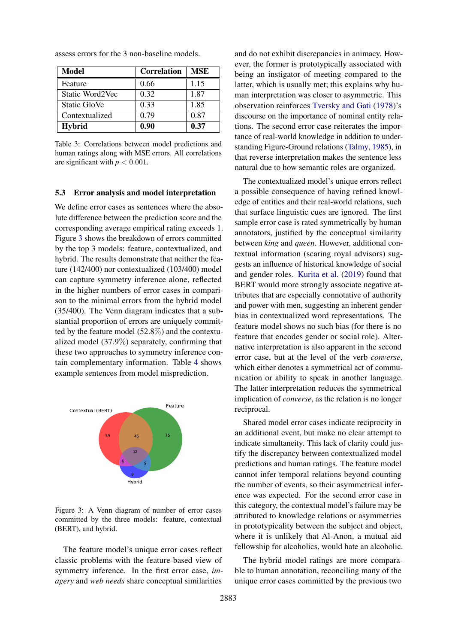<span id="page-6-0"></span>

| Model           | <b>Correlation</b> | MSE  |
|-----------------|--------------------|------|
| Feature         | 0.66               | 1.15 |
| Static Word2Vec | 0.32               | 1.87 |
| Static GloVe    | 0.33               | 1.85 |
| Contextualized  | 0.79               | 0.87 |
| <b>Hybrid</b>   | 0.90               | 0.37 |

assess errors for the 3 non-baseline models.

Table 3: Correlations between model predictions and human ratings along with MSE errors. All correlations are significant with  $p < 0.001$ .

#### 5.3 Error analysis and model interpretation

We define error cases as sentences where the absolute difference between the prediction score and the corresponding average empirical rating exceeds 1. Figure [3](#page-6-1) shows the breakdown of errors committed by the top 3 models: feature, contextualized, and hybrid. The results demonstrate that neither the feature (142/400) nor contextualized (103/400) model can capture symmetry inference alone, reflected in the higher numbers of error cases in comparison to the minimal errors from the hybrid model (35/400). The Venn diagram indicates that a substantial proportion of errors are uniquely committed by the feature model (52.8%) and the contextualized model (37.9%) separately, confirming that these two approaches to symmetry inference contain complementary information. Table [4](#page-7-0) shows example sentences from model misprediction.

<span id="page-6-1"></span>

Figure 3: A Venn diagram of number of error cases committed by the three models: feature, contextual (BERT), and hybrid.

The feature model's unique error cases reflect classic problems with the feature-based view of symmetry inference. In the first error case, *imagery* and *web needs* share conceptual similarities

and do not exhibit discrepancies in animacy. However, the former is prototypically associated with being an instigator of meeting compared to the latter, which is usually met; this explains why human interpretation was closer to asymmetric. This observation reinforces [Tversky and Gati](#page-9-0) [\(1978\)](#page-9-0)'s discourse on the importance of nominal entity relations. The second error case reiterates the importance of real-world knowledge in addition to understanding Figure-Ground relations [\(Talmy,](#page-9-13) [1985\)](#page-9-13), in that reverse interpretation makes the sentence less natural due to how semantic roles are organized.

The contextualized model's unique errors reflect a possible consequence of having refined knowledge of entities and their real-world relations, such that surface linguistic cues are ignored. The first sample error case is rated symmetrically by human annotators, justified by the conceptual similarity between *king* and *queen*. However, additional contextual information (scaring royal advisors) suggests an influence of historical knowledge of social and gender roles. [Kurita et al.](#page-9-14) [\(2019\)](#page-9-14) found that BERT would more strongly associate negative attributes that are especially connotative of authority and power with men, suggesting an inherent gender bias in contextualized word representations. The feature model shows no such bias (for there is no feature that encodes gender or social role). Alternative interpretation is also apparent in the second error case, but at the level of the verb *converse*, which either denotes a symmetrical act of communication or ability to speak in another language. The latter interpretation reduces the symmetrical implication of *converse*, as the relation is no longer reciprocal.

Shared model error cases indicate reciprocity in an additional event, but make no clear attempt to indicate simultaneity. This lack of clarity could justify the discrepancy between contextualized model predictions and human ratings. The feature model cannot infer temporal relations beyond counting the number of events, so their asymmetrical inference was expected. For the second error case in this category, the contextual model's failure may be attributed to knowledge relations or asymmetries in prototypicality between the subject and object, where it is unlikely that Al-Anon, a mutual aid fellowship for alcoholics, would hate an alcoholic.

The hybrid model ratings are more comparable to human annotation, reconciling many of the unique error cases committed by the previous two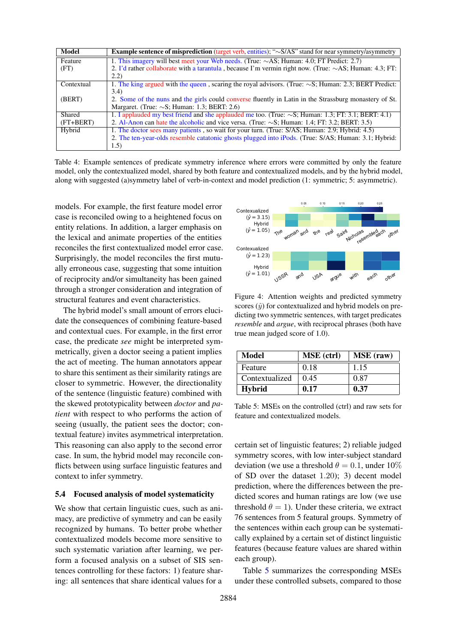<span id="page-7-0"></span>

| <b>Model</b> | <b>Example sentence of misprediction</b> (target verb, entities); " $\sim$ S/AS" stand for near symmetry/asymmetry |
|--------------|--------------------------------------------------------------------------------------------------------------------|
| Feature      | 1. This imagery will best meet your Web needs. (True: $\sim$ AS; Human: 4.0; FT Predict: 2.7)                      |
| (FT)         | 2. I'd rather collaborate with a tarantula, because I'm vermin right now. (True: $\sim$ AS; Human: 4.3; FT:        |
|              | (2.2)                                                                                                              |
| Contextual   | 1. The king argued with the queen, scaring the royal advisors. (True: $\sim$ S; Human: 2.3; BERT Predict:          |
|              | 3.4)                                                                                                               |
| (BERT)       | 2. Some of the nuns and the girls could converse fluently in Latin in the Strassburg monastery of St.              |
|              | Margaret. (True: $\sim$ S; Human: 1.3; BERT: 2.6)                                                                  |
| Shared       | 1. I applauded my best friend and she applauded me too. (True: $\sim$ S; Human: 1.3; FT: 3.1; BERT: 4.1)           |
| $(FT+BERT)$  | 2. Al-Anon can hate the alcoholic and vice versa. (True: $\sim$ S; Human: 1.4; FT: 3.2; BERT: 3.5)                 |
| Hybrid       | 1. The doctor sees many patients, so wait for your turn. (True: S/AS; Human: 2.9; Hybrid: 4.5)                     |
|              | 2. The ten-year-olds resemble catatonic ghosts plugged into iPods. (True: S/AS; Human: 3.1; Hybrid:                |
|              | 1.5)                                                                                                               |

Table 4: Example sentences of predicate symmetry inference where errors were committed by only the feature model, only the contextualized model, shared by both feature and contextualized models, and by the hybrid model, along with suggested (a)symmetry label of verb-in-context and model prediction (1: symmetric; 5: asymmetric).

models. For example, the first feature model error case is reconciled owing to a heightened focus on entity relations. In addition, a larger emphasis on the lexical and animate properties of the entities reconciles the first contextualized model error case. Surprisingly, the model reconciles the first mutually erroneous case, suggesting that some intuition of reciprocity and/or simultaneity has been gained through a stronger consideration and integration of structural features and event characteristics.

The hybrid model's small amount of errors elucidate the consequences of combining feature-based and contextual cues. For example, in the first error case, the predicate *see* might be interpreted symmetrically, given a doctor seeing a patient implies the act of meeting. The human annotators appear to share this sentiment as their similarity ratings are closer to symmetric. However, the directionality of the sentence (linguistic feature) combined with the skewed prototypicality between *doctor* and *patient* with respect to who performs the action of seeing (usually, the patient sees the doctor; contextual feature) invites asymmetrical interpretation. This reasoning can also apply to the second error case. In sum, the hybrid model may reconcile conflicts between using surface linguistic features and context to infer symmetry.

## 5.4 Focused analysis of model systematicity

We show that certain linguistic cues, such as animacy, are predictive of symmetry and can be easily recognized by humans. To better probe whether contextualized models become more sensitive to such systematic variation after learning, we perform a focused analysis on a subset of SIS sentences controlling for these factors: 1) feature sharing: all sentences that share identical values for a

<span id="page-7-2"></span>

Figure 4: Attention weights and predicted symmetry scores  $(\hat{y})$  for contextualized and hybrid models on predicting two symmetric sentences, with target predicates *resemble* and *argue*, with reciprocal phrases (both have true mean judged score of 1.0).

<span id="page-7-1"></span>

| Model          | <b>MSE</b> (ctrl) | <b>MSE</b> (raw) |
|----------------|-------------------|------------------|
| Feature        | 0.18              | 1.15             |
| Contextualized | 0.45              | 0.87             |
| <b>Hybrid</b>  | 0.17              | 0.37             |

Table 5: MSEs on the controlled (ctrl) and raw sets for feature and contextualized models.

certain set of linguistic features; 2) reliable judged symmetry scores, with low inter-subject standard deviation (we use a threshold  $\theta = 0.1$ , under 10% of SD over the dataset 1.20); 3) decent model prediction, where the differences between the predicted scores and human ratings are low (we use threshold  $\theta = 1$ ). Under these criteria, we extract 76 sentences from 5 featural groups. Symmetry of the sentences within each group can be systematically explained by a certain set of distinct linguistic features (because feature values are shared within each group).

Table [5](#page-7-1) summarizes the corresponding MSEs under these controlled subsets, compared to those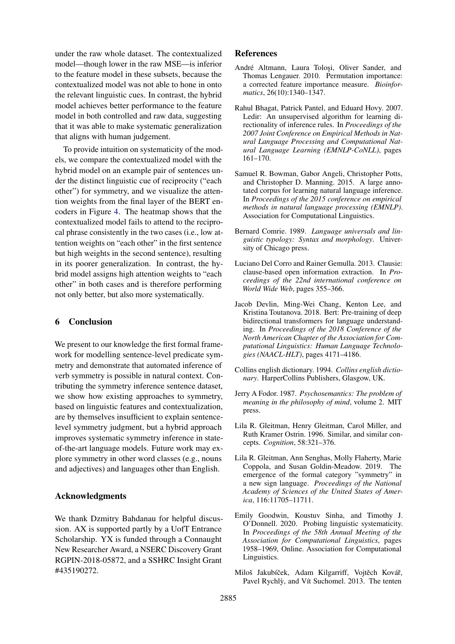under the raw whole dataset. The contextualized model—though lower in the raw MSE—is inferior to the feature model in these subsets, because the contextualized model was not able to hone in onto the relevant linguistic cues. In contrast, the hybrid model achieves better performance to the feature model in both controlled and raw data, suggesting that it was able to make systematic generalization that aligns with human judgement.

To provide intuition on systematicity of the models, we compare the contextualized model with the hybrid model on an example pair of sentences under the distinct linguistic cue of reciprocity ("each other") for symmetry, and we visualize the attention weights from the final layer of the BERT encoders in Figure [4.](#page-7-2) The heatmap shows that the contextualized model fails to attend to the reciprocal phrase consistently in the two cases (i.e., low attention weights on "each other" in the first sentence but high weights in the second sentence), resulting in its poorer generalization. In contrast, the hybrid model assigns high attention weights to "each other" in both cases and is therefore performing not only better, but also more systematically.

# 6 Conclusion

We present to our knowledge the first formal framework for modelling sentence-level predicate symmetry and demonstrate that automated inference of verb symmetry is possible in natural context. Contributing the symmetry inference sentence dataset, we show how existing approaches to symmetry, based on linguistic features and contextualization, are by themselves insufficient to explain sentencelevel symmetry judgment, but a hybrid approach improves systematic symmetry inference in stateof-the-art language models. Future work may explore symmetry in other word classes (e.g., nouns and adjectives) and languages other than English.

### Acknowledgments

We thank Dzmitry Bahdanau for helpful discussion. AX is supported partly by a UofT Entrance Scholarship. YX is funded through a Connaught New Researcher Award, a NSERC Discovery Grant RGPIN-2018-05872, and a SSHRC Insight Grant #435190272.

## References

- <span id="page-8-11"></span>André Altmann, Laura Toloși, Oliver Sander, and Thomas Lengauer. 2010. Permutation importance: a corrected feature importance measure. *Bioinformatics*, 26(10):1340–1347.
- <span id="page-8-5"></span>Rahul Bhagat, Patrick Pantel, and Eduard Hovy. 2007. Ledir: An unsupervised algorithm for learning directionality of inference rules. In *Proceedings of the 2007 Joint Conference on Empirical Methods in Natural Language Processing and Computational Natural Language Learning (EMNLP-CoNLL)*, pages 161–170.
- <span id="page-8-2"></span>Samuel R. Bowman, Gabor Angeli, Christopher Potts, and Christopher D. Manning. 2015. A large annotated corpus for learning natural language inference. In *Proceedings of the 2015 conference on empirical methods in natural language processing (EMNLP)*. Association for Computational Linguistics.
- <span id="page-8-10"></span>Bernard Comrie. 1989. *Language universals and linguistic typology: Syntax and morphology*. University of Chicago press.
- <span id="page-8-9"></span>Luciano Del Corro and Rainer Gemulla. 2013. Clausie: clause-based open information extraction. In *Proceedings of the 22nd international conference on World Wide Web*, pages 355–366.
- <span id="page-8-4"></span>Jacob Devlin, Ming-Wei Chang, Kenton Lee, and Kristina Toutanova. 2018. Bert: Pre-training of deep bidirectional transformers for language understanding. In *Proceedings of the 2018 Conference of the North American Chapter of the Association for Computational Linguistics: Human Language Technologies (NAACL-HLT)*, pages 4171–4186.
- <span id="page-8-7"></span>Collins english dictionary. 1994. *Collins english dictionary*. HarperCollins Publishers, Glasgow, UK.
- <span id="page-8-1"></span>Jerry A Fodor. 1987. *Psychosemantics: The problem of meaning in the philosophy of mind*, volume 2. MIT press.
- <span id="page-8-0"></span>Lila R. Gleitman, Henry Gleitman, Carol Miller, and Ruth Kramer Ostrin. 1996. Similar, and similar concepts. *Cognition*, 58:321–376.
- <span id="page-8-3"></span>Lila R. Gleitman, Ann Senghas, Molly Flaherty, Marie Coppola, and Susan Goldin-Meadow. 2019. The emergence of the formal category "symmetry" in a new sign language. *Proceedings of the National Academy of Sciences of the United States of America*, 116:11705–11711.
- <span id="page-8-6"></span>Emily Goodwin, Koustuv Sinha, and Timothy J. O'Donnell. 2020. Probing linguistic systematicity. In *Proceedings of the 58th Annual Meeting of the Association for Computational Linguistics*, pages 1958–1969, Online. Association for Computational Linguistics.
- <span id="page-8-8"></span>Miloš Jakubíček, Adam Kilgarriff, Vojtěch Kovář, Pavel Rychlỳ, and Vít Suchomel. 2013. The tenten